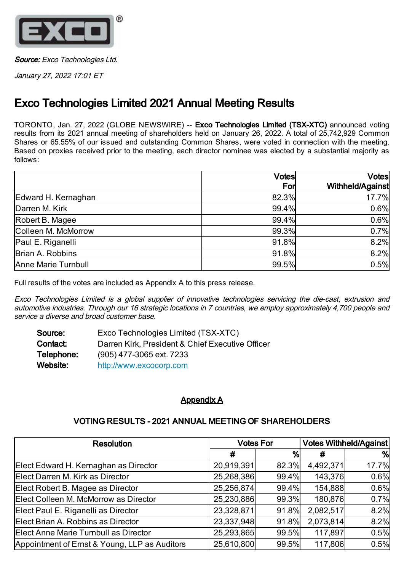

Source: Exco Technologies Ltd.

January 27, 2022 17:01 ET

## Exco Technologies Limited 2021 Annual Meeting Results

TORONTO, Jan. 27, 2022 (GLOBE NEWSWIRE) -- Exco Technologies Limited (TSX-XTC) announced voting results from its 2021 annual meeting of shareholders held on January 26, 2022. A total of 25,742,929 Common Shares or 65.55% of our issued and outstanding Common Shares, were voted in connection with the meeting. Based on proxies received prior to the meeting, each director nominee was elected by a substantial majority as follows:

|                     | <b>Votes</b> | <b>Votes</b>     |  |
|---------------------|--------------|------------------|--|
|                     | For          | Withheld/Against |  |
| Edward H. Kernaghan | 82.3%        | 17.7%            |  |
| Darren M. Kirk      | 99.4%        | 0.6%             |  |
| Robert B. Magee     | 99.4%        | 0.6%             |  |
| Colleen M. McMorrow | 99.3%        | 0.7%             |  |
| Paul E. Riganelli   | 91.8%        | 8.2%             |  |
| Brian A. Robbins    | 91.8%        | 8.2%             |  |
| Anne Marie Turnbull | 99.5%        | 0.5%             |  |

Full results of the votes are included as Appendix A to this press release.

Exco Technologies Limited is <sup>a</sup> global supplier of innovative technologies servicing the die-cast, extrusion and automotive industries. Through our 16 strategic locations in 7 countries, we employ approximately 4,700 people and service a diverse and broad customer base.

| Source:    | Exco Technologies Limited (TSX-XTC)              |
|------------|--------------------------------------------------|
| Contact:   | Darren Kirk, President & Chief Executive Officer |
| Telephone: | (905) 477-3065 ext. 7233                         |
| Website:   | http://www.excocorp.com                          |

## Appendix A

## VOTING RESULTS - 2021 ANNUAL MEETING OF SHAREHOLDERS

| <b>Resolution</b>                             | <b>Votes For</b> |       | <b>Votes Withheld/Against</b> |       |
|-----------------------------------------------|------------------|-------|-------------------------------|-------|
|                                               | #                | %     |                               | %     |
| Elect Edward H. Kernaghan as Director         | 20,919,391       | 82.3% | 4,492,371                     | 17.7% |
| Elect Darren M. Kirk as Director              | 25,268,386       | 99.4% | 143,376                       | 0.6%  |
| Elect Robert B. Magee as Director             | 25,256,874       | 99.4% | 154,888                       | 0.6%  |
| Elect Colleen M. McMorrow as Director         | 25,230,886       | 99.3% | 180,876                       | 0.7%  |
| Elect Paul E. Riganelli as Director           | 23,328,871       | 91.8% | 2,082,517                     | 8.2%  |
| Elect Brian A. Robbins as Director            | 23,337,948       | 91.8% | 2,073,814                     | 8.2%  |
| Elect Anne Marie Turnbull as Director         | 25,293,865       | 99.5% | 117,897                       | 0.5%  |
| Appointment of Ernst & Young, LLP as Auditors | 25,610,800       | 99.5% | 117,806                       | 0.5%  |